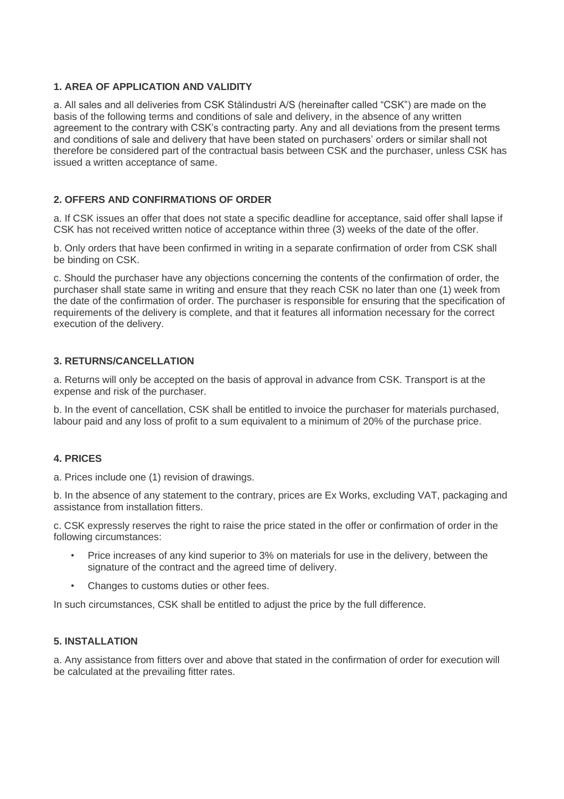# **1. AREA OF APPLICATION AND VALIDITY**

a. All sales and all deliveries from CSK Stålindustri A/S (hereinafter called "CSK") are made on the basis of the following terms and conditions of sale and delivery, in the absence of any written agreement to the contrary with CSK's contracting party. Any and all deviations from the present terms and conditions of sale and delivery that have been stated on purchasers' orders or similar shall not therefore be considered part of the contractual basis between CSK and the purchaser, unless CSK has issued a written acceptance of same.

# **2. OFFERS AND CONFIRMATIONS OF ORDER**

a. If CSK issues an offer that does not state a specific deadline for acceptance, said offer shall lapse if CSK has not received written notice of acceptance within three (3) weeks of the date of the offer.

b. Only orders that have been confirmed in writing in a separate confirmation of order from CSK shall be binding on CSK.

c. Should the purchaser have any objections concerning the contents of the confirmation of order, the purchaser shall state same in writing and ensure that they reach CSK no later than one (1) week from the date of the confirmation of order. The purchaser is responsible for ensuring that the specification of requirements of the delivery is complete, and that it features all information necessary for the correct execution of the delivery.

## **3. RETURNS/CANCELLATION**

a. Returns will only be accepted on the basis of approval in advance from CSK. Transport is at the expense and risk of the purchaser.

b. In the event of cancellation, CSK shall be entitled to invoice the purchaser for materials purchased, labour paid and any loss of profit to a sum equivalent to a minimum of 20% of the purchase price.

### **4. PRICES**

a. Prices include one (1) revision of drawings.

b. In the absence of any statement to the contrary, prices are Ex Works, excluding VAT, packaging and assistance from installation fitters.

c. CSK expressly reserves the right to raise the price stated in the offer or confirmation of order in the following circumstances:

- Price increases of any kind superior to 3% on materials for use in the delivery, between the signature of the contract and the agreed time of delivery.
- Changes to customs duties or other fees.

In such circumstances, CSK shall be entitled to adjust the price by the full difference.

# **5. INSTALLATION**

a. Any assistance from fitters over and above that stated in the confirmation of order for execution will be calculated at the prevailing fitter rates.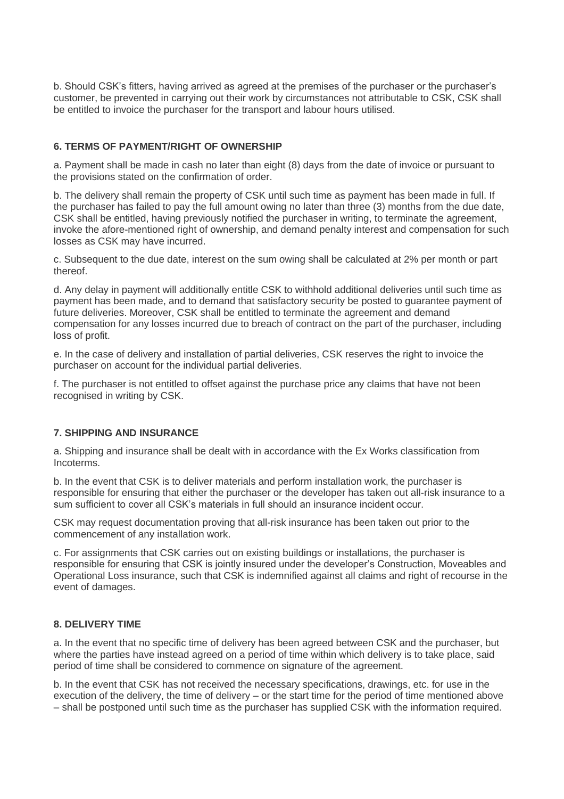b. Should CSK's fitters, having arrived as agreed at the premises of the purchaser or the purchaser's customer, be prevented in carrying out their work by circumstances not attributable to CSK, CSK shall be entitled to invoice the purchaser for the transport and labour hours utilised.

## **6. TERMS OF PAYMENT/RIGHT OF OWNERSHIP**

a. Payment shall be made in cash no later than eight (8) days from the date of invoice or pursuant to the provisions stated on the confirmation of order.

b. The delivery shall remain the property of CSK until such time as payment has been made in full. If the purchaser has failed to pay the full amount owing no later than three (3) months from the due date, CSK shall be entitled, having previously notified the purchaser in writing, to terminate the agreement, invoke the afore-mentioned right of ownership, and demand penalty interest and compensation for such losses as CSK may have incurred.

c. Subsequent to the due date, interest on the sum owing shall be calculated at 2% per month or part thereof.

d. Any delay in payment will additionally entitle CSK to withhold additional deliveries until such time as payment has been made, and to demand that satisfactory security be posted to guarantee payment of future deliveries. Moreover, CSK shall be entitled to terminate the agreement and demand compensation for any losses incurred due to breach of contract on the part of the purchaser, including loss of profit.

e. In the case of delivery and installation of partial deliveries, CSK reserves the right to invoice the purchaser on account for the individual partial deliveries.

f. The purchaser is not entitled to offset against the purchase price any claims that have not been recognised in writing by CSK.

### **7. SHIPPING AND INSURANCE**

a. Shipping and insurance shall be dealt with in accordance with the Ex Works classification from Incoterms.

b. In the event that CSK is to deliver materials and perform installation work, the purchaser is responsible for ensuring that either the purchaser or the developer has taken out all-risk insurance to a sum sufficient to cover all CSK's materials in full should an insurance incident occur.

CSK may request documentation proving that all-risk insurance has been taken out prior to the commencement of any installation work.

c. For assignments that CSK carries out on existing buildings or installations, the purchaser is responsible for ensuring that CSK is jointly insured under the developer's Construction, Moveables and Operational Loss insurance, such that CSK is indemnified against all claims and right of recourse in the event of damages.

### **8. DELIVERY TIME**

a. In the event that no specific time of delivery has been agreed between CSK and the purchaser, but where the parties have instead agreed on a period of time within which delivery is to take place, said period of time shall be considered to commence on signature of the agreement.

b. In the event that CSK has not received the necessary specifications, drawings, etc. for use in the execution of the delivery, the time of delivery – or the start time for the period of time mentioned above – shall be postponed until such time as the purchaser has supplied CSK with the information required.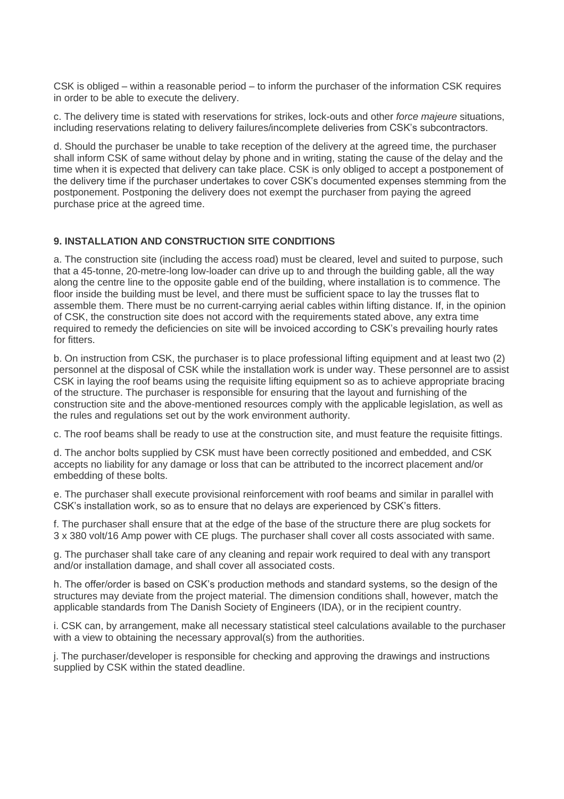CSK is obliged – within a reasonable period – to inform the purchaser of the information CSK requires in order to be able to execute the delivery.

c. The delivery time is stated with reservations for strikes, lock-outs and other *force majeure* situations, including reservations relating to delivery failures/incomplete deliveries from CSK's subcontractors.

d. Should the purchaser be unable to take reception of the delivery at the agreed time, the purchaser shall inform CSK of same without delay by phone and in writing, stating the cause of the delay and the time when it is expected that delivery can take place. CSK is only obliged to accept a postponement of the delivery time if the purchaser undertakes to cover CSK's documented expenses stemming from the postponement. Postponing the delivery does not exempt the purchaser from paying the agreed purchase price at the agreed time.

## **9. INSTALLATION AND CONSTRUCTION SITE CONDITIONS**

a. The construction site (including the access road) must be cleared, level and suited to purpose, such that a 45-tonne, 20-metre-long low-loader can drive up to and through the building gable, all the way along the centre line to the opposite gable end of the building, where installation is to commence. The floor inside the building must be level, and there must be sufficient space to lay the trusses flat to assemble them. There must be no current-carrying aerial cables within lifting distance. If, in the opinion of CSK, the construction site does not accord with the requirements stated above, any extra time required to remedy the deficiencies on site will be invoiced according to CSK's prevailing hourly rates for fitters.

b. On instruction from CSK, the purchaser is to place professional lifting equipment and at least two (2) personnel at the disposal of CSK while the installation work is under way. These personnel are to assist CSK in laying the roof beams using the requisite lifting equipment so as to achieve appropriate bracing of the structure. The purchaser is responsible for ensuring that the layout and furnishing of the construction site and the above-mentioned resources comply with the applicable legislation, as well as the rules and regulations set out by the work environment authority.

c. The roof beams shall be ready to use at the construction site, and must feature the requisite fittings.

d. The anchor bolts supplied by CSK must have been correctly positioned and embedded, and CSK accepts no liability for any damage or loss that can be attributed to the incorrect placement and/or embedding of these bolts.

e. The purchaser shall execute provisional reinforcement with roof beams and similar in parallel with CSK's installation work, so as to ensure that no delays are experienced by CSK's fitters.

f. The purchaser shall ensure that at the edge of the base of the structure there are plug sockets for 3 x 380 volt/16 Amp power with CE plugs. The purchaser shall cover all costs associated with same.

g. The purchaser shall take care of any cleaning and repair work required to deal with any transport and/or installation damage, and shall cover all associated costs.

h. The offer/order is based on CSK's production methods and standard systems, so the design of the structures may deviate from the project material. The dimension conditions shall, however, match the applicable standards from The Danish Society of Engineers (IDA), or in the recipient country.

i. CSK can, by arrangement, make all necessary statistical steel calculations available to the purchaser with a view to obtaining the necessary approval(s) from the authorities.

j. The purchaser/developer is responsible for checking and approving the drawings and instructions supplied by CSK within the stated deadline.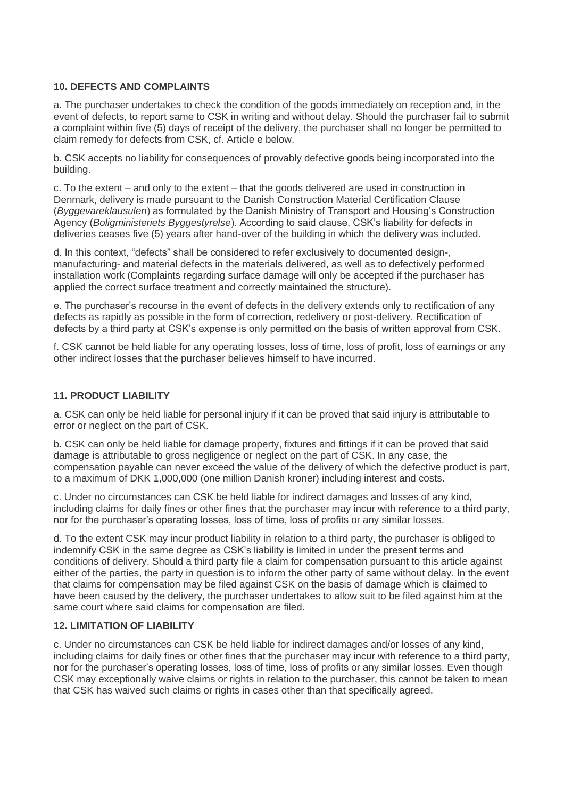# **10. DEFECTS AND COMPLAINTS**

a. The purchaser undertakes to check the condition of the goods immediately on reception and, in the event of defects, to report same to CSK in writing and without delay. Should the purchaser fail to submit a complaint within five (5) days of receipt of the delivery, the purchaser shall no longer be permitted to claim remedy for defects from CSK, cf. Article e below.

b. CSK accepts no liability for consequences of provably defective goods being incorporated into the building.

c. To the extent – and only to the extent – that the goods delivered are used in construction in Denmark, delivery is made pursuant to the Danish Construction Material Certification Clause (*Byggevareklausulen*) as formulated by the Danish Ministry of Transport and Housing's Construction Agency (*Boligministeriets Byggestyrelse*). According to said clause, CSK's liability for defects in deliveries ceases five (5) years after hand-over of the building in which the delivery was included.

d. In this context, "defects" shall be considered to refer exclusively to documented design-, manufacturing- and material defects in the materials delivered, as well as to defectively performed installation work (Complaints regarding surface damage will only be accepted if the purchaser has applied the correct surface treatment and correctly maintained the structure).

e. The purchaser's recourse in the event of defects in the delivery extends only to rectification of any defects as rapidly as possible in the form of correction, redelivery or post-delivery. Rectification of defects by a third party at CSK's expense is only permitted on the basis of written approval from CSK.

f. CSK cannot be held liable for any operating losses, loss of time, loss of profit, loss of earnings or any other indirect losses that the purchaser believes himself to have incurred.

## **11. PRODUCT LIABILITY**

a. CSK can only be held liable for personal injury if it can be proved that said injury is attributable to error or neglect on the part of CSK.

b. CSK can only be held liable for damage property, fixtures and fittings if it can be proved that said damage is attributable to gross negligence or neglect on the part of CSK. In any case, the compensation payable can never exceed the value of the delivery of which the defective product is part, to a maximum of DKK 1,000,000 (one million Danish kroner) including interest and costs.

c. Under no circumstances can CSK be held liable for indirect damages and losses of any kind, including claims for daily fines or other fines that the purchaser may incur with reference to a third party, nor for the purchaser's operating losses, loss of time, loss of profits or any similar losses.

d. To the extent CSK may incur product liability in relation to a third party, the purchaser is obliged to indemnify CSK in the same degree as CSK's liability is limited in under the present terms and conditions of delivery. Should a third party file a claim for compensation pursuant to this article against either of the parties, the party in question is to inform the other party of same without delay. In the event that claims for compensation may be filed against CSK on the basis of damage which is claimed to have been caused by the delivery, the purchaser undertakes to allow suit to be filed against him at the same court where said claims for compensation are filed.

### **12. LIMITATION OF LIABILITY**

c. Under no circumstances can CSK be held liable for indirect damages and/or losses of any kind, including claims for daily fines or other fines that the purchaser may incur with reference to a third party, nor for the purchaser's operating losses, loss of time, loss of profits or any similar losses. Even though CSK may exceptionally waive claims or rights in relation to the purchaser, this cannot be taken to mean that CSK has waived such claims or rights in cases other than that specifically agreed.